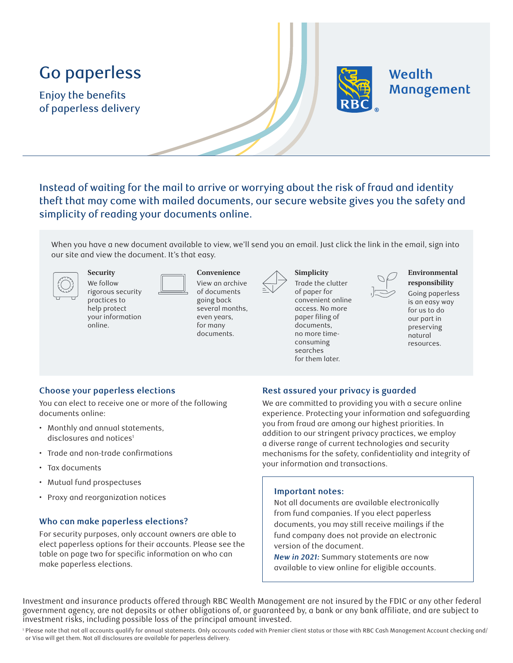# Go paperless

Enjoy the benefits of paperless delivery



## Wealth Management

Instead of waiting for the mail to arrive or worrying about the risk of fraud and identity theft that may come with mailed documents, our secure website gives you the safety and simplicity of reading your documents online.

When you have a new document available to view, we'll send you an email. Just click the link in the email, sign into our site and view the document. It's that easy.

We follow rigorous security practices to help protect your information online.

**Security** 

**Convenience** View an archive of documents going back several months, even years, for many documents.



Trade the clutter of paper for convenient online access. No more paper filing of documents, no more timeconsuming searches for them later.

**Simplicity** 



**Environmental responsibility** 

Going paperless is an easy way for us to do our part in preserving natural resources.

#### **Choose your paperless elections**

You can elect to receive one or more of the following documents online:

- Monthly and annual statements, disclosures and notices<sup>1</sup>
- Trade and non-trade confirmations
- Tax documents
- Mutual fund prospectuses
- Proxy and reorganization notices

#### **Who can make paperless elections?**

For security purposes, only account owners are able to elect paperless options for their accounts. Please see the table on page two for specific information on who can make paperless elections.

#### **Rest assured your privacy is guarded**

We are committed to providing you with a secure online experience. Protecting your information and safeguarding you from fraud are among our highest priorities. In addition to our stringent privacy practices, we employ a diverse range of current technologies and security mechanisms for the safety, confidentiality and integrity of your information and transactions.

#### **Important notes:**

Not all documents are available electronically from fund companies. If you elect paperless documents, you may still receive mailings if the fund company does not provide an electronic version of the document.

*New in 2021:* Summary statements are now available to view online for eligible accounts.

Investment and insurance products offered through RBC Wealth Management are not insured by the FDIC or any other federal government agency, are not deposits or other obligations of, or guaranteed by, a bank or any bank affiliate, and are subject to investment risks, including possible loss of the principal amount invested.

<sup>1</sup> Please note that not all accounts qualify for annual statements. Only accounts coded with Premier client status or those with RBC Cash Management Account checking and/ or Visa will get them. Not all disclosures are available for paperless delivery.